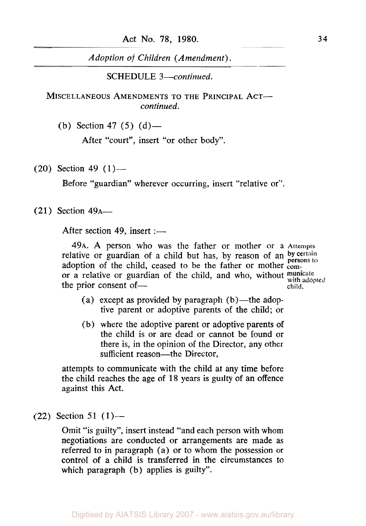Act No. **78,** 1980. **<sup>34</sup>**

*Adoption* of *Children (Amendment).* 

SCHEDULE 3-continued.

MISCELLANEOUS AMENDMENTS TO THE PRINCIPAL ACT*continued.* 

(b) Section 47 (5)  $(d)$ —

After "court", insert "or other body".

 $(20)$  Section 49  $(1)$ —

Before "guardian" wherever occurring, insert "relative or".

 $(21)$  Section 49<sub>A</sub>—

After section 49, insert : $-$ 

relative or guardian of a child but has, by reason of an by certain adoption of the child, ceased to be the father or mother com-<br>or a relative or matrix of the state of the state of the state of the state of the state of the state of the state of the state of the state of the state of the or a relative or guardian of the child, and who, without municate 49A. A person who was the father or mother or a **Attempts**  the prior consent of-<br>
child.

(a) except as provided by paragraph  $(b)$ —the adoptive parent or adoptive parents of the child; or

(b) where the adoptive parent or adoptive parents of the child is or are dead or cannot be found or there is, in the opinion of the Director, any other sufficient reason—the Director,

attempts to communicate with the child at any time before the child reaches the age of 18 years is guilty of an offence against this Act.

 $(22)$  Section 51  $(1)$ —

Omit "is guilty", insert instead "and each person with whom negotiations are conducted or arrangements are made as referred to in paragraph (a) or to whom the possession or control of a child is transferred in the circumstances to which paragraph (b) applies is guilty".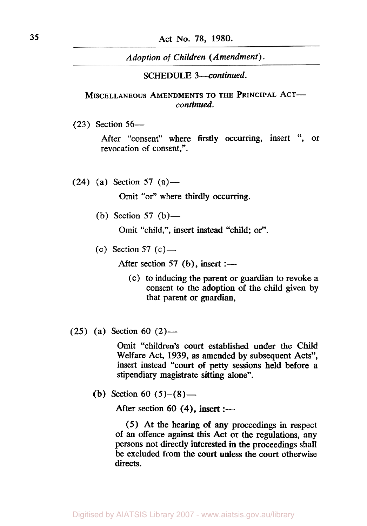## **SCHEDULE** *3-continued.*

# **MISCELLANEOUS** AMENDMENTS **TO THE PRINCIPAL** ACT*continued.*

(23) Section *56-* 

After "consent" where firstly occurring, insert ", or revocation of consent,".

 $(24)$  (a) Section 57 (a) —

Omit "or" where thirdly occurring.

(b) Section 57 (b)—

Omit "child,", insert instead "child; or".

(c) Section 57 (c) —

After section  $57$  (b), insert :—

- (c) to inducing the parent or guardian to revoke a consent to the adoption of the child given by that parent or guardian,
- **(25)** (a) Section 60 **(2)-**

Omit "children's court established under the Child Welfare Act, **1939,** as amended by subsequent Acts", insert instead "court of **petty** sessions held before a stipendiary magistrate sitting alone".

(b) Section 60 *(5)-(8)-* 

After section 60 (4), insert :-

*(5)* At the hearing of any proceedings in respect of an offence against **this** Act or the regulations, any persons not directly interested in the proceedings shall be excluded from the court unless the court otherwise directs.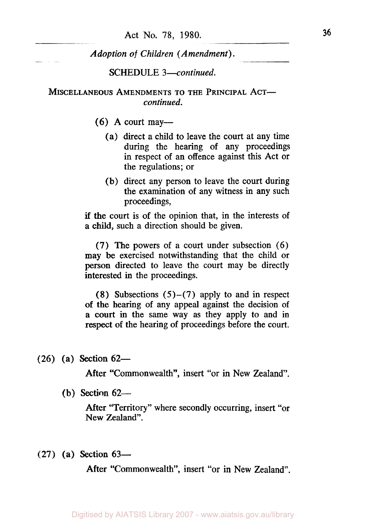SCHEDULE *3-continued.* 

### MISCELLANEOUS AMENDMENTS **TO THE** PRINCIPAL ACT*continued.*

 $(6)$  A court may—

- **(a)** direct a child to leave the court at any time during the hearing of any proceedings in respect of an offence against this Act or the regulations; or
- (b) direct any person to leave the court during the examination of any witness in any such proceedings,

if the court is of the opinion that, in the interests of a child, such a direction should be given.

(7) The powers of a court under subsection (6) may be exercised notwithstanding that the child or person directed to leave the court may be directly interested in the proceedings.

(8) Subsections  $(5)-(7)$  apply to and in respect of the hearing of any appeal against the decision of a **court** in the same way as they apply to and in respect of the hearing of proceedings before the court.

(26) (a) **Section** 62-

After "Commonwealth", insert "or in New Zealand".

(b) **Section** *62-* 

After "Territory" where secondly occurring, insert "or New Zealand".

 $(27)$  (a) Section  $63-$ 

After "Commonwealth", insert "or in New Zealand".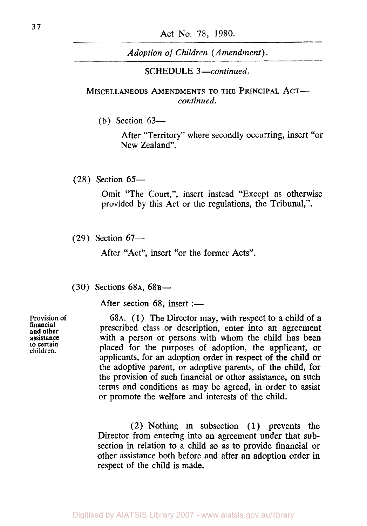SCHEDULE *3-continued.* 

# MISCELLANEOUS AMENDMENTS TO THE **PRINCIPAL** ACT*continued.*

(b) Section  $63$ —

After "Territory" where secondly occurring, insert "or New Zealand".

**(28)** Section **65-** 

Omit "The Court,", insert instead "Except as otherwise provided by this Act or the regulations, the Tribunal,".

**(29)** Section **67-** 

After "Act", insert "or the former Acts".

**(30)** Sections **68A, 68B-**

After section 68, insert :-

**68A. (1)** The Director may, with respect to a child of a prescribed class or description, enter into an agreement with a person or persons with whom the child has been placed for the purposes of adoption, the applicant, or applicants, for an adoption order in respect of the child or the adoptive parent, or adoptive parents, of the child, for the provision **of** such financial or other assistance, on such terms and conditions as may be agreed, in order to assist or promote the welfare and interests of the child.

**(2)** Nothing in subsection **(1)** prevents the Director from entering into an agreement under that subsection in relation to a child so **as** to provide financial or other assistance both before and after an adoption order in respect of the child is made.

**Provision of assistance financial and other to certain children.**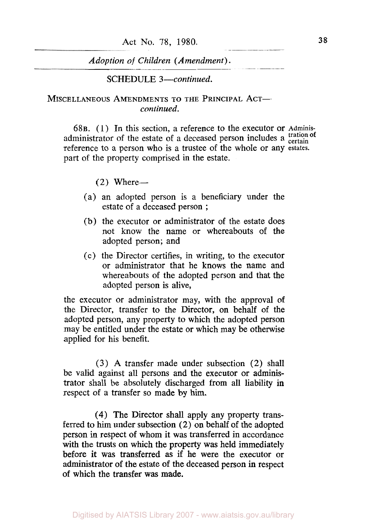**SCHEDULE** *3-continued.* 

### MISCELLANEOUS AMENDMENTS TO THE PRINCIPAL ACT*continued.*

**68B. (1)** In this section, a reference to the executor or **Adminis**administrator of the estate of a deceased person includes a **tration** of reference to a person who is a trustee of the whole or any **estates.**  part of the property comprised in the estate.

- $(2)$  Where--
- (a) an adopted person is a beneficiary under the estate of a deceased person ;
- (b) the executor or administrator of the estate does not know the name or whereabouts of the adopted person; and
- (c) the Director certifies, in writing, to the executor or administrator that he knows the name and whereabouts of the adopted person and that the adopted person is alive,

the executor or administrator may, with the approval of the Director, transfer to the Director, on behalf of the adopted person, any property to which the adopted person may be entitled under the estate or which may be otherwise applied for his benefit.

(3) A transfer made under subsection *(2)* shall be valid against all persons and the executor or administrator shall be absolutely discharged from all liability in respect of a transfer so made by him.

**(4)** The Director shall apply any property transferred to him under subsection (2) on behalf of the adopted person in respect of whom it was transferred in accordance with the trusts on which the property was held immediately before it was transferred **as** if he were the executor or administrator of the estate of the deceased person in respect of which the transfer **was made.**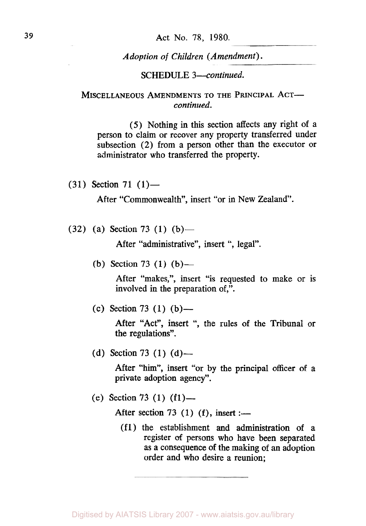# 39 Act No. 78, *1980.*

*Adoption of Children (Amendment).* 

# **SCHEDULE** *3-continued.*

# **MISCELLANEOUS AMENDMENTS TO THE PRINCIPAL ACT***continued.*

(5) Nothing in this section affects any right of a person to claim or recover any property transferred under subsection (2) from a person other than the executor or administrator who transferred the property.

*(31)* Section *71 (1)-* 

After "Commonwealth", insert "or in New Zealand".

*(32)* (a) Section *73 (1)* (b)-

After "administrative", insert ", legal".

(b) Section 73 (1) (b) —

After "makes,", insert "is requested to make or is involved in the preparation of,".

(c) Section *73 (1)* (b)-

After "Act", insert ", the rules of the Tribunal or the regulations".

(d) Section 73 (1) (d) —

After "him", insert "or by the principal officer of a private adoption agency".

(e) Section *73 (1)* **(f1)-** 

After section 73 (1) (f), insert :-

(f1) the establishment and administration of a register **of** persons who have been separated as a consequence of the making of **an** adoption order and who desire a reunion;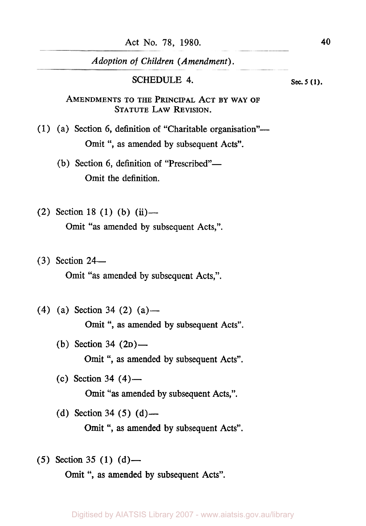## **SCHEDULE 4. Sec. 5 (1). Sec. 5 (1).**

AMENDMENTS **TO** THE PRINCIPAL ACT BY WAY **OF**  STATUTE LAW REVISION.

(1) (a) Section 6, definition of "Charitable organisation"- Omit ", as amended by subsequent Acts".

- (b) Section 6, definition of "Prescribed" $-$ Omit the definition.
- **(2)** Section **18** (1) (b) (ii)- Omit "as amended by subsequent Acts,".
- (3) Section **24-**

Omit "as amended by subsequent Acts,".

**(4)** (a) Section **34 (2)** (a)-

Omit ", **as** amended by subsequent Acts".

- (b) Section 34 (2D) Omit *",* as amended by subsequent Acts".
- $(c)$  Section 34  $(4)$  Omit **"as** amended by subsequent Acts,".
- (d) Section **34 (5)** (d)- Omit ", as amended by subsequent Acts".
- (5) Section **35 (1)** (d)-

Omit ", as amended by subsequent Acts".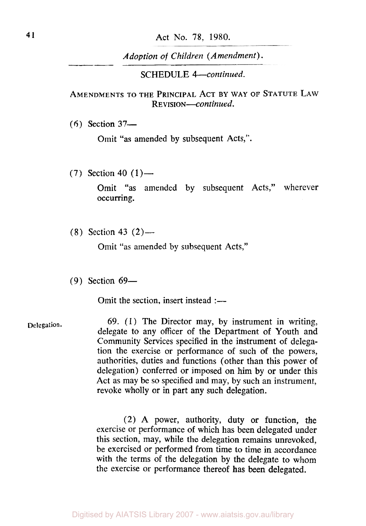**SCHEDULE 4-continued.** 

## AMENDMENTS TO THE PRINCIPAL ACT **BY WAY** OF STATUTE LAW REVISION-continued.

**(6)** Section **37-** 

Omit "as amended by subsequent Acts,".

 $(7)$  Section 40  $(1)$ —

Omit "as amended by subsequent Acts," wherever occurring.

**(8)** Section **43** (2)-

Omit "as amended by subsequent Acts,"

(9) Section **69-** 

Omit the section, insert instead  $:$ ---

**Delegation.** 69. (1) The Director may, by instrument in writing, delegate to any officer of the Department of Youth and Community Services specified in the instrument of delegation the exercise or performance of such **of** the powers, authorities, duties and functions (other than this power of delegation) conferred or imposed on him by or under this Act as may be so specified and may, by such an instrument, revoke wholly or in part any such delegation.

> (2) A power, authority, duty or function, the exercise or performance of which has been delegated under this section, may, while the delegation remains unrevoked, be exercised or performed from time to time in accordance with the terms of the delegation by the delegate to whom the exercise or performance thereof has been delegated.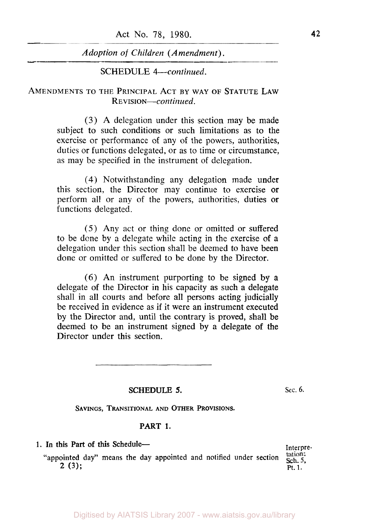**SCHEDULE 4-continued.** 

## **AMENDMENTS TO THE PRINCIPAL ACT BY WAY OF STATUTE LAW REVISION-continued.**

(3) **A** delegation under this section may be made subject to such conditions or such limitations as to the exercise or performance of any of the powers, authorities, duties or functions delegated, or as to time or circumstance, as may be specified in the instrument of delegation.

(4) Notwithstanding any delegation made under this section, the Director may continue to exercise or perform all or any of the powers, authorities, duties or functions delegated.

*(5)* Any act or thing done or omitted or suffered to be done by a delegate while acting in the exercise of a delegation under this section shall be deemed to have been done or omitted or suffered to be done by the Director.

**(6)** An instrument purporting to be signed by a delegate of the Director in his capacity as such a delegate shall in all courts and before all persons acting judicially be received in evidence as if it were an instrument executed by the Director and, until the contrary is proved, shall be deemed to be an instrument signed by a delegate of the Director under this section.

#### **SCHEDULE!** *5.*

*Sec.* **6.** 

tation:

**SAVINGS, TRANSITIONAL AND OTHER PROVISIONS.** 

### **PART 1.**

# 1. In this Part of this Schedule-- **1. Interpre-**

**"appointed day" means** the **day appointed and notified under section 2 (3); Pt. 1.**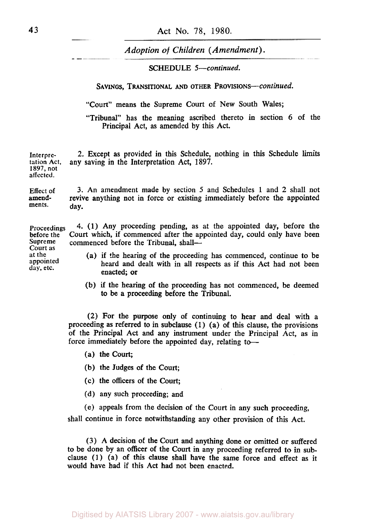**SCHEDULE 5-continued.** 

#### SAVINGS, TRANSITIONAL AND OTHER PROVISIONS-continued.

"Court" means the Supreme Court of New South Wales;

"Tribunal" has the meaning ascribed thereto in section 6 of the Principal Act, **as** amended by this Act.

**Interpretation Act, 1897, not affected.**  2. Except as provided in this Schedule, nothing in this Schedule limits any saving in the Interpretation Act, 1897.

**Effect of amend-**3. An amendment made by section **5** and Schedules 1 and 2 shall not revive anything not in force or existing immediately before the appointed day.

**Proceedings before the Supreme 4.** (1) Any proceeding pending, as at the appointed day, before the Court which, if commenced after the appointed day, could only have been commenced before the Tribunal, shall-

> (a) if the hearing of the proceeding has commenced, continue to be heard and dealt with in all respects as if this Act had not been enacted; **or**

(b) if the hearing of the proceeding has not commenced, be deemed to be a proceeding before the Tribunal.

(2) For the purpose only of continuing to hear and deal with a proceeding as referred to in subclause **(1)** (a) of this clause, the provisions of the Principal Act and any instrument under the Principal Act, as in force immediately before the appointed day, relating to-

- (a) the Court,
- (b) the Judges of the Court;
- (c) the officers of the Court;
- (d) any such proceeding; and

(e) appeals from the decision of the Court in any such proceeding, shall continue in force notwithstanding any other provision of this Act.

(3) A decision of the Court and anything done or omitted or suffered to be done by an officer of the Court in any proceeding referred to in subclause (1) (a) of this clause shall have the same force and effect as it would have bad if this Act had not been enacted.

**ments.** 

**Court as at the appointed day, etc.**